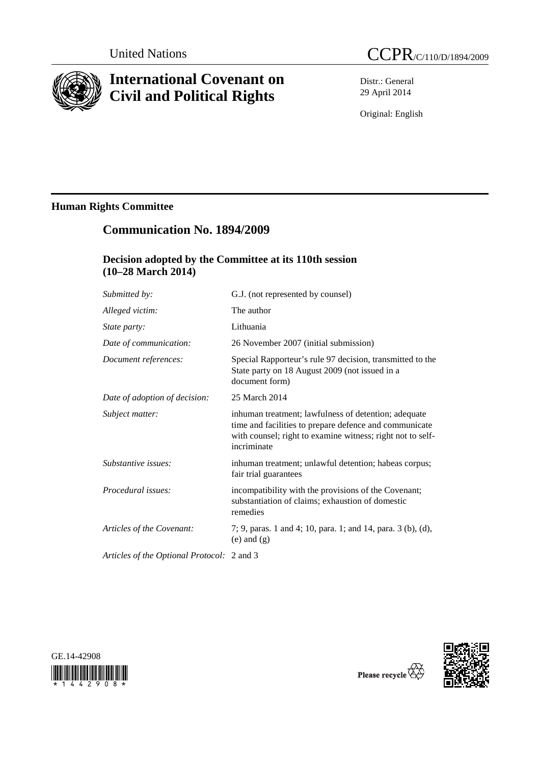

# **International Covenant on Civil and Political Rights**

Distr.: General 29 April 2014

Original: English

# **Human Rights Committee**

# **Communication No. 1894/2009**

### **Decision adopted by the Committee at its 110th session (10–28 March 2014)**

| Submitted by:                      | G.J. (not represented by counsel)                                                                                                                                                           |
|------------------------------------|---------------------------------------------------------------------------------------------------------------------------------------------------------------------------------------------|
| Alleged victim:                    | The author                                                                                                                                                                                  |
| State party:                       | Lithuania                                                                                                                                                                                   |
| Date of communication:             | 26 November 2007 (initial submission)                                                                                                                                                       |
| Document references:               | Special Rapporteur's rule 97 decision, transmitted to the<br>State party on 18 August 2009 (not issued in a<br>document form)                                                               |
| Date of adoption of decision:      | 25 March 2014                                                                                                                                                                               |
| Subject matter:                    | inhuman treatment; lawfulness of detention; adequate<br>time and facilities to prepare defence and communicate<br>with counsel; right to examine witness; right not to self-<br>incriminate |
| Substantive issues:                | inhuman treatment; unlawful detention; habeas corpus;<br>fair trial guarantees                                                                                                              |
| Procedural issues:                 | incompatibility with the provisions of the Covenant;<br>substantiation of claims; exhaustion of domestic<br>remedies                                                                        |
| Articles of the Covenant:          | 7; 9, paras. 1 and 4; 10, para. 1; and 14, para. 3 (b), (d),<br>$(e)$ and $(g)$                                                                                                             |
| Articles of the Optional Protocol: | 2 and 3                                                                                                                                                                                     |





Please recycle  $\overline{\mathbb{Q}}$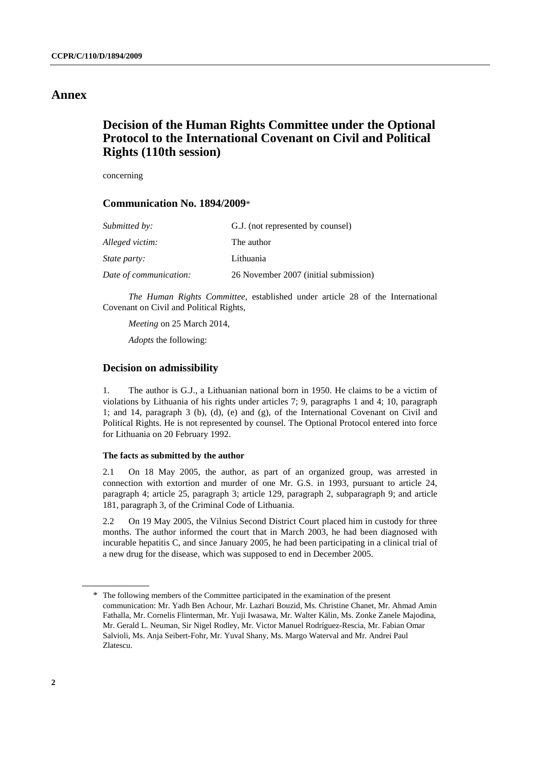### **Annex**

## **Decision of the Human Rights Committee under the Optional Protocol to the International Covenant on Civil and Political Rights (110th session)**

concerning

### **Communication No. 1894/2009**\*

| Submitted by:          | G.J. (not represented by counsel)     |
|------------------------|---------------------------------------|
| Alleged victim:        | The author                            |
| <i>State party:</i>    | Lithuania                             |
| Date of communication: | 26 November 2007 (initial submission) |

*The Human Rights Committee*, established under article 28 of the International Covenant on Civil and Political Rights,

*Meeting* on 25 March 2014,

*Adopts* the following:

#### **Decision on admissibility**

1. The author is G.J., a Lithuanian national born in 1950. He claims to be a victim of violations by Lithuania of his rights under articles 7; 9, paragraphs 1 and 4; 10, paragraph 1; and 14, paragraph 3 (b), (d), (e) and (g), of the International Covenant on Civil and Political Rights. He is not represented by counsel. The Optional Protocol entered into force for Lithuania on 20 February 1992.

#### **The facts as submitted by the author**

2.1 On 18 May 2005, the author, as part of an organized group, was arrested in connection with extortion and murder of one Mr. G.S. in 1993, pursuant to article 24, paragraph 4; article 25, paragraph 3; article 129, paragraph 2, subparagraph 9; and article 181, paragraph 3, of the Criminal Code of Lithuania.

2.2 On 19 May 2005, the Vilnius Second District Court placed him in custody for three months. The author informed the court that in March 2003, he had been diagnosed with incurable hepatitis C, and since January 2005, he had been participating in a clinical trial of a new drug for the disease, which was supposed to end in December 2005.

<sup>\*</sup> The following members of the Committee participated in the examination of the present communication: Mr. Yadh Ben Achour, Mr. Lazhari Bouzid, Ms. Christine Chanet, Mr. Ahmad Amin Fathalla, Mr. Cornelis Flinterman, Mr. Yuji Iwasawa, Mr. Walter Kälin, Ms. Zonke Zanele Majodina, Mr. Gerald L. Neuman, Sir Nigel Rodley, Mr. Victor Manuel Rodríguez-Rescia, Mr. Fabian Omar Salvioli, Ms. Anja Seibert-Fohr, Mr. Yuval Shany, Ms. Margo Waterval and Mr. Andrei Paul Zlatescu.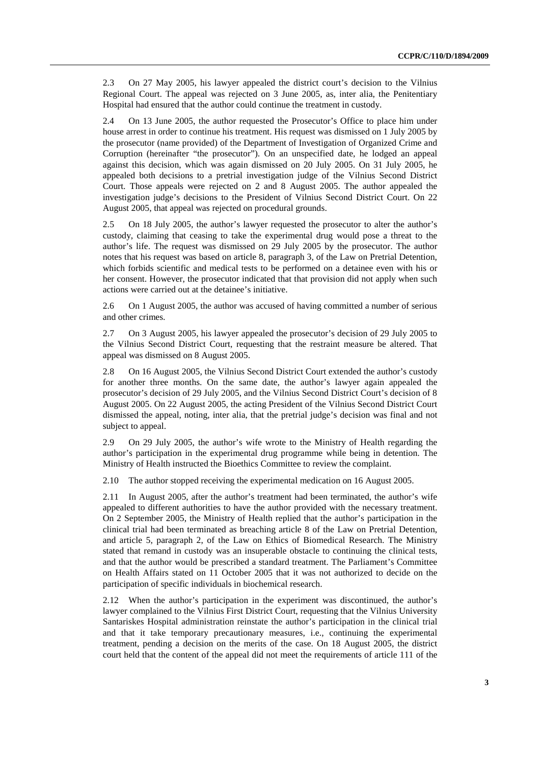2.3 On 27 May 2005, his lawyer appealed the district court's decision to the Vilnius Regional Court. The appeal was rejected on 3 June 2005, as, inter alia, the Penitentiary Hospital had ensured that the author could continue the treatment in custody.

2.4 On 13 June 2005, the author requested the Prosecutor's Office to place him under house arrest in order to continue his treatment. His request was dismissed on 1 July 2005 by the prosecutor (name provided) of the Department of Investigation of Organized Crime and Corruption (hereinafter "the prosecutor"). On an unspecified date, he lodged an appeal against this decision, which was again dismissed on 20 July 2005. On 31 July 2005, he appealed both decisions to a pretrial investigation judge of the Vilnius Second District Court. Those appeals were rejected on 2 and 8 August 2005. The author appealed the investigation judge's decisions to the President of Vilnius Second District Court. On 22 August 2005, that appeal was rejected on procedural grounds.

2.5 On 18 July 2005, the author's lawyer requested the prosecutor to alter the author's custody, claiming that ceasing to take the experimental drug would pose a threat to the author's life. The request was dismissed on 29 July 2005 by the prosecutor. The author notes that his request was based on article 8, paragraph 3, of the Law on Pretrial Detention, which forbids scientific and medical tests to be performed on a detainee even with his or her consent. However, the prosecutor indicated that that provision did not apply when such actions were carried out at the detainee's initiative.

2.6 On 1 August 2005, the author was accused of having committed a number of serious and other crimes.

2.7 On 3 August 2005, his lawyer appealed the prosecutor's decision of 29 July 2005 to the Vilnius Second District Court, requesting that the restraint measure be altered. That appeal was dismissed on 8 August 2005.

2.8 On 16 August 2005, the Vilnius Second District Court extended the author's custody for another three months. On the same date, the author's lawyer again appealed the prosecutor's decision of 29 July 2005, and the Vilnius Second District Court's decision of 8 August 2005. On 22 August 2005, the acting President of the Vilnius Second District Court dismissed the appeal, noting, inter alia, that the pretrial judge's decision was final and not subject to appeal.

2.9 On 29 July 2005, the author's wife wrote to the Ministry of Health regarding the author's participation in the experimental drug programme while being in detention. The Ministry of Health instructed the Bioethics Committee to review the complaint.

2.10 The author stopped receiving the experimental medication on 16 August 2005.

2.11 In August 2005, after the author's treatment had been terminated, the author's wife appealed to different authorities to have the author provided with the necessary treatment. On 2 September 2005, the Ministry of Health replied that the author's participation in the clinical trial had been terminated as breaching article 8 of the Law on Pretrial Detention, and article 5, paragraph 2, of the Law on Ethics of Biomedical Research. The Ministry stated that remand in custody was an insuperable obstacle to continuing the clinical tests, and that the author would be prescribed a standard treatment. The Parliament's Committee on Health Affairs stated on 11 October 2005 that it was not authorized to decide on the participation of specific individuals in biochemical research.

2.12 When the author's participation in the experiment was discontinued, the author's lawyer complained to the Vilnius First District Court, requesting that the Vilnius University Santariskes Hospital administration reinstate the author's participation in the clinical trial and that it take temporary precautionary measures, i.e., continuing the experimental treatment, pending a decision on the merits of the case. On 18 August 2005, the district court held that the content of the appeal did not meet the requirements of article 111 of the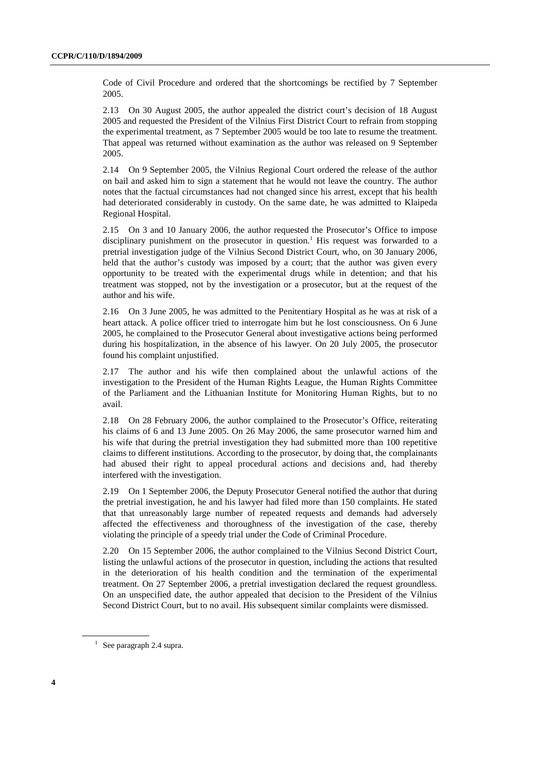Code of Civil Procedure and ordered that the shortcomings be rectified by 7 September 2005.

2.13 On 30 August 2005, the author appealed the district court's decision of 18 August 2005 and requested the President of the Vilnius First District Court to refrain from stopping the experimental treatment, as 7 September 2005 would be too late to resume the treatment. That appeal was returned without examination as the author was released on 9 September 2005.

2.14 On 9 September 2005, the Vilnius Regional Court ordered the release of the author on bail and asked him to sign a statement that he would not leave the country. The author notes that the factual circumstances had not changed since his arrest, except that his health had deteriorated considerably in custody. On the same date, he was admitted to Klaipeda Regional Hospital.

2.15 On 3 and 10 January 2006, the author requested the Prosecutor's Office to impose disciplinary punishment on the prosecutor in question.<sup>1</sup> His request was forwarded to a pretrial investigation judge of the Vilnius Second District Court, who, on 30 January 2006, held that the author's custody was imposed by a court; that the author was given every opportunity to be treated with the experimental drugs while in detention; and that his treatment was stopped, not by the investigation or a prosecutor, but at the request of the author and his wife.

2.16 On 3 June 2005, he was admitted to the Penitentiary Hospital as he was at risk of a heart attack. A police officer tried to interrogate him but he lost consciousness. On 6 June 2005, he complained to the Prosecutor General about investigative actions being performed during his hospitalization, in the absence of his lawyer. On 20 July 2005, the prosecutor found his complaint unjustified.

2.17 The author and his wife then complained about the unlawful actions of the investigation to the President of the Human Rights League, the Human Rights Committee of the Parliament and the Lithuanian Institute for Monitoring Human Rights, but to no avail.

2.18 On 28 February 2006, the author complained to the Prosecutor's Office, reiterating his claims of 6 and 13 June 2005. On 26 May 2006, the same prosecutor warned him and his wife that during the pretrial investigation they had submitted more than 100 repetitive claims to different institutions. According to the prosecutor, by doing that, the complainants had abused their right to appeal procedural actions and decisions and, had thereby interfered with the investigation.

2.19 On 1 September 2006, the Deputy Prosecutor General notified the author that during the pretrial investigation, he and his lawyer had filed more than 150 complaints. He stated that that unreasonably large number of repeated requests and demands had adversely affected the effectiveness and thoroughness of the investigation of the case, thereby violating the principle of a speedy trial under the Code of Criminal Procedure.

2.20 On 15 September 2006, the author complained to the Vilnius Second District Court, listing the unlawful actions of the prosecutor in question, including the actions that resulted in the deterioration of his health condition and the termination of the experimental treatment. On 27 September 2006, a pretrial investigation declared the request groundless. On an unspecified date, the author appealed that decision to the President of the Vilnius Second District Court, but to no avail. His subsequent similar complaints were dismissed.

<sup>&</sup>lt;sup>1</sup> See paragraph 2.4 supra.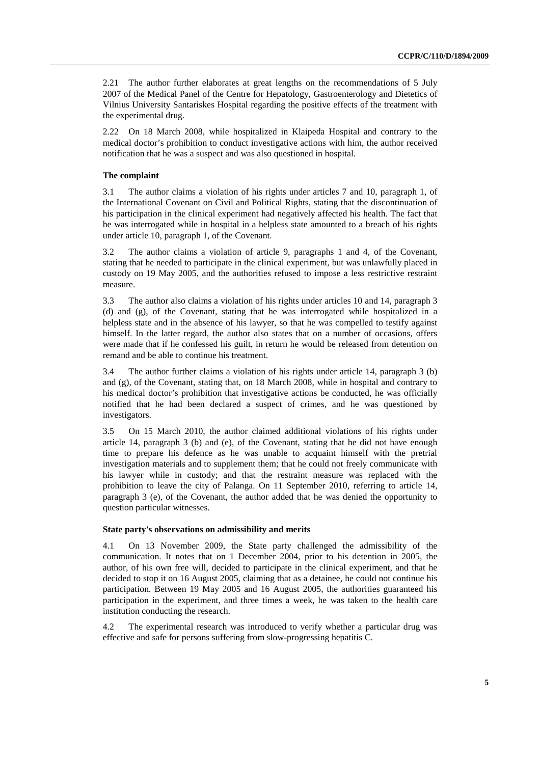2.21 The author further elaborates at great lengths on the recommendations of 5 July 2007 of the Medical Panel of the Centre for Hepatology, Gastroenterology and Dietetics of Vilnius University Santariskes Hospital regarding the positive effects of the treatment with the experimental drug.

2.22 On 18 March 2008, while hospitalized in Klaipeda Hospital and contrary to the medical doctor's prohibition to conduct investigative actions with him, the author received notification that he was a suspect and was also questioned in hospital.

#### **The complaint**

3.1 The author claims a violation of his rights under articles 7 and 10, paragraph 1, of the International Covenant on Civil and Political Rights, stating that the discontinuation of his participation in the clinical experiment had negatively affected his health. The fact that he was interrogated while in hospital in a helpless state amounted to a breach of his rights under article 10, paragraph 1, of the Covenant.

3.2 The author claims a violation of article 9, paragraphs 1 and 4, of the Covenant, stating that he needed to participate in the clinical experiment, but was unlawfully placed in custody on 19 May 2005, and the authorities refused to impose a less restrictive restraint measure.

3.3 The author also claims a violation of his rights under articles 10 and 14, paragraph 3 (d) and (g), of the Covenant, stating that he was interrogated while hospitalized in a helpless state and in the absence of his lawyer, so that he was compelled to testify against himself. In the latter regard, the author also states that on a number of occasions, offers were made that if he confessed his guilt, in return he would be released from detention on remand and be able to continue his treatment.

3.4 The author further claims a violation of his rights under article 14, paragraph 3 (b) and (g), of the Covenant, stating that, on 18 March 2008, while in hospital and contrary to his medical doctor's prohibition that investigative actions be conducted, he was officially notified that he had been declared a suspect of crimes, and he was questioned by investigators.

3.5 On 15 March 2010, the author claimed additional violations of his rights under article 14, paragraph 3 (b) and (e), of the Covenant, stating that he did not have enough time to prepare his defence as he was unable to acquaint himself with the pretrial investigation materials and to supplement them; that he could not freely communicate with his lawyer while in custody; and that the restraint measure was replaced with the prohibition to leave the city of Palanga. On 11 September 2010, referring to article 14, paragraph 3 (e), of the Covenant, the author added that he was denied the opportunity to question particular witnesses.

#### **State party's observations on admissibility and merits**

4.1 On 13 November 2009, the State party challenged the admissibility of the communication. It notes that on 1 December 2004, prior to his detention in 2005, the author, of his own free will, decided to participate in the clinical experiment, and that he decided to stop it on 16 August 2005, claiming that as a detainee, he could not continue his participation. Between 19 May 2005 and 16 August 2005, the authorities guaranteed his participation in the experiment, and three times a week, he was taken to the health care institution conducting the research.

4.2 The experimental research was introduced to verify whether a particular drug was effective and safe for persons suffering from slow-progressing hepatitis C.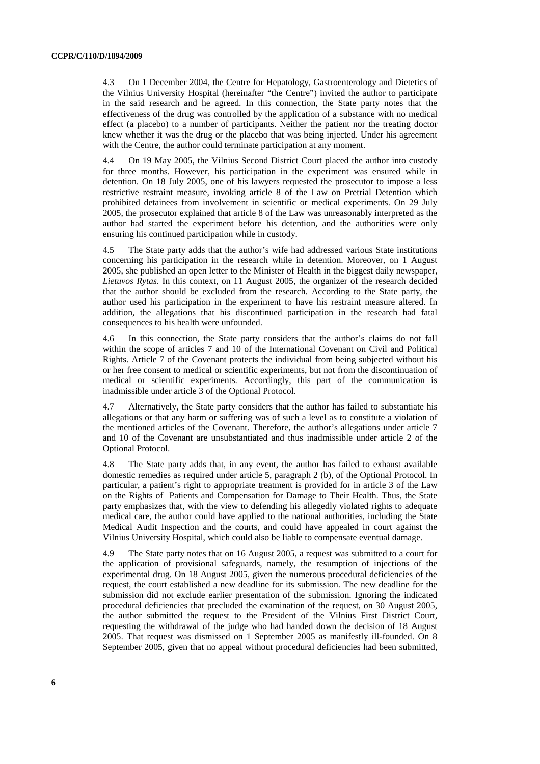4.3 On 1 December 2004, the Centre for Hepatology, Gastroenterology and Dietetics of the Vilnius University Hospital (hereinafter "the Centre") invited the author to participate in the said research and he agreed. In this connection, the State party notes that the effectiveness of the drug was controlled by the application of a substance with no medical effect (a placebo) to a number of participants. Neither the patient nor the treating doctor knew whether it was the drug or the placebo that was being injected. Under his agreement with the Centre, the author could terminate participation at any moment.

4.4 On 19 May 2005, the Vilnius Second District Court placed the author into custody for three months. However, his participation in the experiment was ensured while in detention. On 18 July 2005, one of his lawyers requested the prosecutor to impose a less restrictive restraint measure, invoking article 8 of the Law on Pretrial Detention which prohibited detainees from involvement in scientific or medical experiments. On 29 July 2005, the prosecutor explained that article 8 of the Law was unreasonably interpreted as the author had started the experiment before his detention, and the authorities were only ensuring his continued participation while in custody.

4.5 The State party adds that the author's wife had addressed various State institutions concerning his participation in the research while in detention. Moreover, on 1 August 2005, she published an open letter to the Minister of Health in the biggest daily newspaper, *Lietuvos Rytas*. In this context, on 11 August 2005, the organizer of the research decided that the author should be excluded from the research. According to the State party, the author used his participation in the experiment to have his restraint measure altered. In addition, the allegations that his discontinued participation in the research had fatal consequences to his health were unfounded.

4.6 In this connection, the State party considers that the author's claims do not fall within the scope of articles 7 and 10 of the International Covenant on Civil and Political Rights. Article 7 of the Covenant protects the individual from being subjected without his or her free consent to medical or scientific experiments, but not from the discontinuation of medical or scientific experiments. Accordingly, this part of the communication is inadmissible under article 3 of the Optional Protocol.

4.7 Alternatively, the State party considers that the author has failed to substantiate his allegations or that any harm or suffering was of such a level as to constitute a violation of the mentioned articles of the Covenant. Therefore, the author's allegations under article 7 and 10 of the Covenant are unsubstantiated and thus inadmissible under article 2 of the Optional Protocol.

4.8 The State party adds that, in any event, the author has failed to exhaust available domestic remedies as required under article 5, paragraph 2 (b), of the Optional Protocol. In particular, a patient's right to appropriate treatment is provided for in article 3 of the Law on the Rights of Patients and Compensation for Damage to Their Health. Thus, the State party emphasizes that, with the view to defending his allegedly violated rights to adequate medical care, the author could have applied to the national authorities, including the State Medical Audit Inspection and the courts, and could have appealed in court against the Vilnius University Hospital, which could also be liable to compensate eventual damage.

4.9 The State party notes that on 16 August 2005, a request was submitted to a court for the application of provisional safeguards, namely, the resumption of injections of the experimental drug. On 18 August 2005, given the numerous procedural deficiencies of the request, the court established a new deadline for its submission. The new deadline for the submission did not exclude earlier presentation of the submission. Ignoring the indicated procedural deficiencies that precluded the examination of the request, on 30 August 2005, the author submitted the request to the President of the Vilnius First District Court, requesting the withdrawal of the judge who had handed down the decision of 18 August 2005. That request was dismissed on 1 September 2005 as manifestly ill-founded. On 8 September 2005, given that no appeal without procedural deficiencies had been submitted,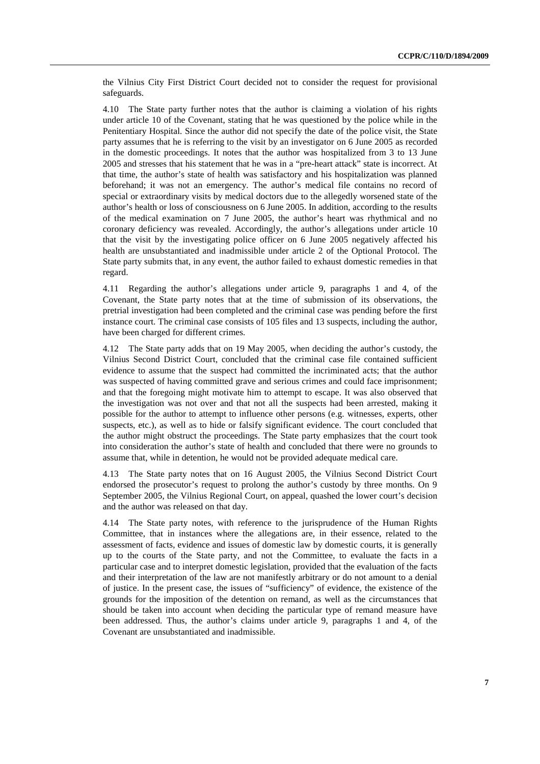the Vilnius City First District Court decided not to consider the request for provisional safeguards.

4.10 The State party further notes that the author is claiming a violation of his rights under article 10 of the Covenant, stating that he was questioned by the police while in the Penitentiary Hospital. Since the author did not specify the date of the police visit, the State party assumes that he is referring to the visit by an investigator on 6 June 2005 as recorded in the domestic proceedings. It notes that the author was hospitalized from 3 to 13 June 2005 and stresses that his statement that he was in a "pre-heart attack" state is incorrect. At that time, the author's state of health was satisfactory and his hospitalization was planned beforehand; it was not an emergency. The author's medical file contains no record of special or extraordinary visits by medical doctors due to the allegedly worsened state of the author's health or loss of consciousness on 6 June 2005. In addition, according to the results of the medical examination on 7 June 2005, the author's heart was rhythmical and no coronary deficiency was revealed. Accordingly, the author's allegations under article 10 that the visit by the investigating police officer on 6 June 2005 negatively affected his health are unsubstantiated and inadmissible under article 2 of the Optional Protocol. The State party submits that, in any event, the author failed to exhaust domestic remedies in that regard.

4.11 Regarding the author's allegations under article 9, paragraphs 1 and 4, of the Covenant, the State party notes that at the time of submission of its observations, the pretrial investigation had been completed and the criminal case was pending before the first instance court. The criminal case consists of 105 files and 13 suspects, including the author, have been charged for different crimes.

4.12 The State party adds that on 19 May 2005, when deciding the author's custody, the Vilnius Second District Court, concluded that the criminal case file contained sufficient evidence to assume that the suspect had committed the incriminated acts; that the author was suspected of having committed grave and serious crimes and could face imprisonment; and that the foregoing might motivate him to attempt to escape. It was also observed that the investigation was not over and that not all the suspects had been arrested, making it possible for the author to attempt to influence other persons (e.g. witnesses, experts, other suspects, etc.), as well as to hide or falsify significant evidence. The court concluded that the author might obstruct the proceedings. The State party emphasizes that the court took into consideration the author's state of health and concluded that there were no grounds to assume that, while in detention, he would not be provided adequate medical care.

4.13 The State party notes that on 16 August 2005, the Vilnius Second District Court endorsed the prosecutor's request to prolong the author's custody by three months. On 9 September 2005, the Vilnius Regional Court, on appeal, quashed the lower court's decision and the author was released on that day.

4.14 The State party notes, with reference to the jurisprudence of the Human Rights Committee, that in instances where the allegations are, in their essence, related to the assessment of facts, evidence and issues of domestic law by domestic courts, it is generally up to the courts of the State party, and not the Committee, to evaluate the facts in a particular case and to interpret domestic legislation, provided that the evaluation of the facts and their interpretation of the law are not manifestly arbitrary or do not amount to a denial of justice. In the present case, the issues of "sufficiency" of evidence, the existence of the grounds for the imposition of the detention on remand, as well as the circumstances that should be taken into account when deciding the particular type of remand measure have been addressed. Thus, the author's claims under article 9, paragraphs 1 and 4, of the Covenant are unsubstantiated and inadmissible.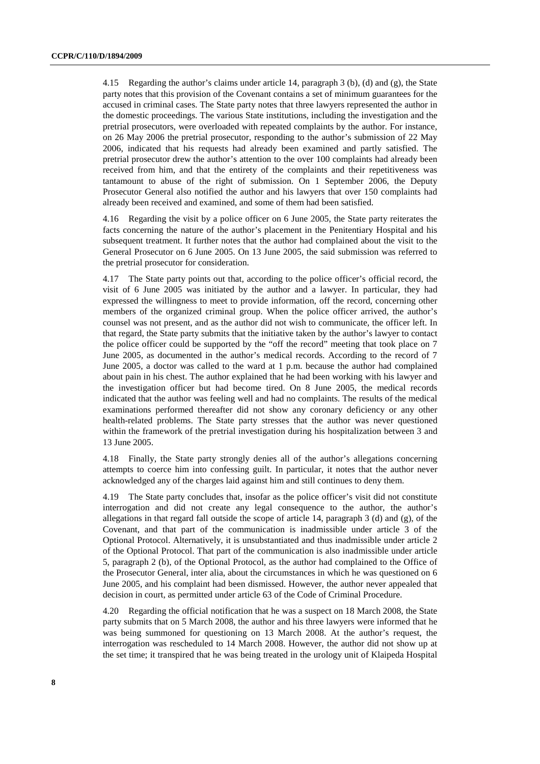4.15 Regarding the author's claims under article 14, paragraph 3 (b), (d) and (g), the State party notes that this provision of the Covenant contains a set of minimum guarantees for the accused in criminal cases. The State party notes that three lawyers represented the author in the domestic proceedings. The various State institutions, including the investigation and the pretrial prosecutors, were overloaded with repeated complaints by the author. For instance, on 26 May 2006 the pretrial prosecutor, responding to the author's submission of 22 May 2006, indicated that his requests had already been examined and partly satisfied. The pretrial prosecutor drew the author's attention to the over 100 complaints had already been received from him, and that the entirety of the complaints and their repetitiveness was tantamount to abuse of the right of submission. On 1 September 2006, the Deputy Prosecutor General also notified the author and his lawyers that over 150 complaints had already been received and examined, and some of them had been satisfied.

4.16 Regarding the visit by a police officer on 6 June 2005, the State party reiterates the facts concerning the nature of the author's placement in the Penitentiary Hospital and his subsequent treatment. It further notes that the author had complained about the visit to the General Prosecutor on 6 June 2005. On 13 June 2005, the said submission was referred to the pretrial prosecutor for consideration.

4.17 The State party points out that, according to the police officer's official record, the visit of 6 June 2005 was initiated by the author and a lawyer. In particular, they had expressed the willingness to meet to provide information, off the record, concerning other members of the organized criminal group. When the police officer arrived, the author's counsel was not present, and as the author did not wish to communicate, the officer left. In that regard, the State party submits that the initiative taken by the author's lawyer to contact the police officer could be supported by the "off the record" meeting that took place on 7 June 2005, as documented in the author's medical records. According to the record of 7 June 2005, a doctor was called to the ward at 1 p.m. because the author had complained about pain in his chest. The author explained that he had been working with his lawyer and the investigation officer but had become tired. On 8 June 2005, the medical records indicated that the author was feeling well and had no complaints. The results of the medical examinations performed thereafter did not show any coronary deficiency or any other health-related problems. The State party stresses that the author was never questioned within the framework of the pretrial investigation during his hospitalization between 3 and 13 June 2005.

4.18 Finally, the State party strongly denies all of the author's allegations concerning attempts to coerce him into confessing guilt. In particular, it notes that the author never acknowledged any of the charges laid against him and still continues to deny them.

4.19 The State party concludes that, insofar as the police officer's visit did not constitute interrogation and did not create any legal consequence to the author, the author's allegations in that regard fall outside the scope of article 14, paragraph  $3$  (d) and (g), of the Covenant, and that part of the communication is inadmissible under article 3 of the Optional Protocol. Alternatively, it is unsubstantiated and thus inadmissible under article 2 of the Optional Protocol. That part of the communication is also inadmissible under article 5, paragraph 2 (b), of the Optional Protocol, as the author had complained to the Office of the Prosecutor General, inter alia, about the circumstances in which he was questioned on 6 June 2005, and his complaint had been dismissed. However, the author never appealed that decision in court, as permitted under article 63 of the Code of Criminal Procedure.

4.20 Regarding the official notification that he was a suspect on 18 March 2008, the State party submits that on 5 March 2008, the author and his three lawyers were informed that he was being summoned for questioning on 13 March 2008. At the author's request, the interrogation was rescheduled to 14 March 2008. However, the author did not show up at the set time; it transpired that he was being treated in the urology unit of Klaipeda Hospital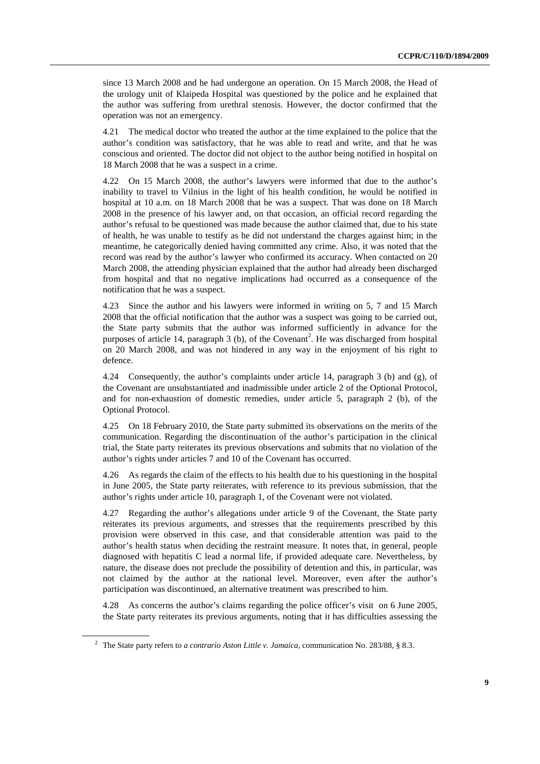since 13 March 2008 and he had undergone an operation. On 15 March 2008, the Head of the urology unit of Klaipeda Hospital was questioned by the police and he explained that the author was suffering from urethral stenosis. However, the doctor confirmed that the operation was not an emergency.

4.21 The medical doctor who treated the author at the time explained to the police that the author's condition was satisfactory, that he was able to read and write, and that he was conscious and oriented. The doctor did not object to the author being notified in hospital on 18 March 2008 that he was a suspect in a crime.

4.22 On 15 March 2008, the author's lawyers were informed that due to the author's inability to travel to Vilnius in the light of his health condition, he would be notified in hospital at 10 a.m. on 18 March 2008 that he was a suspect. That was done on 18 March 2008 in the presence of his lawyer and, on that occasion, an official record regarding the author's refusal to be questioned was made because the author claimed that, due to his state of health, he was unable to testify as he did not understand the charges against him; in the meantime, he categorically denied having committed any crime. Also, it was noted that the record was read by the author's lawyer who confirmed its accuracy. When contacted on 20 March 2008, the attending physician explained that the author had already been discharged from hospital and that no negative implications had occurred as a consequence of the notification that he was a suspect.

4.23 Since the author and his lawyers were informed in writing on 5, 7 and 15 March 2008 that the official notification that the author was a suspect was going to be carried out, the State party submits that the author was informed sufficiently in advance for the purposes of article 14, paragraph  $3$  (b), of the Covenant<sup>2</sup>. He was discharged from hospital on 20 March 2008, and was not hindered in any way in the enjoyment of his right to defence.

4.24 Consequently, the author's complaints under article 14, paragraph 3 (b) and (g), of the Covenant are unsubstantiated and inadmissible under article 2 of the Optional Protocol, and for non-exhaustion of domestic remedies, under article 5, paragraph 2 (b), of the Optional Protocol.

4.25 On 18 February 2010, the State party submitted its observations on the merits of the communication. Regarding the discontinuation of the author's participation in the clinical trial, the State party reiterates its previous observations and submits that no violation of the author's rights under articles 7 and 10 of the Covenant has occurred.

4.26 As regards the claim of the effects to his health due to his questioning in the hospital in June 2005, the State party reiterates, with reference to its previous submission, that the author's rights under article 10, paragraph 1, of the Covenant were not violated.

4.27 Regarding the author's allegations under article 9 of the Covenant, the State party reiterates its previous arguments, and stresses that the requirements prescribed by this provision were observed in this case, and that considerable attention was paid to the author's health status when deciding the restraint measure. It notes that, in general, people diagnosed with hepatitis C lead a normal life, if provided adequate care. Nevertheless, by nature, the disease does not preclude the possibility of detention and this, in particular, was not claimed by the author at the national level. Moreover, even after the author's participation was discontinued, an alternative treatment was prescribed to him.

4.28 As concerns the author's claims regarding the police officer's visit on 6 June 2005, the State party reiterates its previous arguments, noting that it has difficulties assessing the

<sup>2</sup> The State party refers to *a contrario Aston Little v. Jamaica*, communication No. 283/88, § 8.3.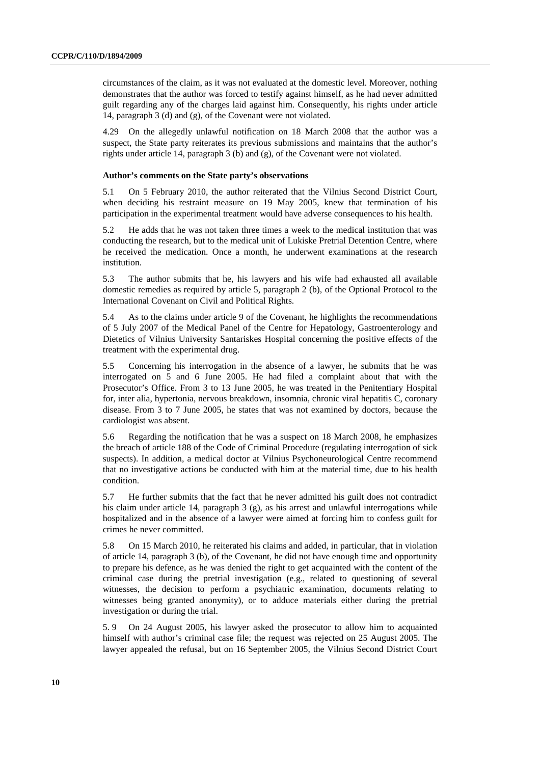circumstances of the claim, as it was not evaluated at the domestic level. Moreover, nothing demonstrates that the author was forced to testify against himself, as he had never admitted guilt regarding any of the charges laid against him. Consequently, his rights under article 14, paragraph 3 (d) and (g), of the Covenant were not violated.

4.29 On the allegedly unlawful notification on 18 March 2008 that the author was a suspect, the State party reiterates its previous submissions and maintains that the author's rights under article 14, paragraph 3 (b) and (g), of the Covenant were not violated.

#### **Author's comments on the State party's observations**

5.1 On 5 February 2010, the author reiterated that the Vilnius Second District Court, when deciding his restraint measure on 19 May 2005, knew that termination of his participation in the experimental treatment would have adverse consequences to his health.

5.2 He adds that he was not taken three times a week to the medical institution that was conducting the research, but to the medical unit of Lukiske Pretrial Detention Centre, where he received the medication. Once a month, he underwent examinations at the research institution.

5.3 The author submits that he, his lawyers and his wife had exhausted all available domestic remedies as required by article 5, paragraph 2 (b), of the Optional Protocol to the International Covenant on Civil and Political Rights.

5.4 As to the claims under article 9 of the Covenant, he highlights the recommendations of 5 July 2007 of the Medical Panel of the Centre for Hepatology, Gastroenterology and Dietetics of Vilnius University Santariskes Hospital concerning the positive effects of the treatment with the experimental drug.

5.5 Concerning his interrogation in the absence of a lawyer, he submits that he was interrogated on 5 and 6 June 2005. He had filed a complaint about that with the Prosecutor's Office. From 3 to 13 June 2005, he was treated in the Penitentiary Hospital for, inter alia, hypertonia, nervous breakdown, insomnia, chronic viral hepatitis C, coronary disease. From 3 to 7 June 2005, he states that was not examined by doctors, because the cardiologist was absent.

5.6 Regarding the notification that he was a suspect on 18 March 2008, he emphasizes the breach of article 188 of the Code of Criminal Procedure (regulating interrogation of sick suspects). In addition, a medical doctor at Vilnius Psychoneurological Centre recommend that no investigative actions be conducted with him at the material time, due to his health condition.

5.7 He further submits that the fact that he never admitted his guilt does not contradict his claim under article 14, paragraph 3 (g), as his arrest and unlawful interrogations while hospitalized and in the absence of a lawyer were aimed at forcing him to confess guilt for crimes he never committed.

5.8 On 15 March 2010, he reiterated his claims and added, in particular, that in violation of article 14, paragraph 3 (b), of the Covenant, he did not have enough time and opportunity to prepare his defence, as he was denied the right to get acquainted with the content of the criminal case during the pretrial investigation (e.g., related to questioning of several witnesses, the decision to perform a psychiatric examination, documents relating to witnesses being granted anonymity), or to adduce materials either during the pretrial investigation or during the trial.

5. 9 On 24 August 2005, his lawyer asked the prosecutor to allow him to acquainted himself with author's criminal case file; the request was rejected on 25 August 2005. The lawyer appealed the refusal, but on 16 September 2005, the Vilnius Second District Court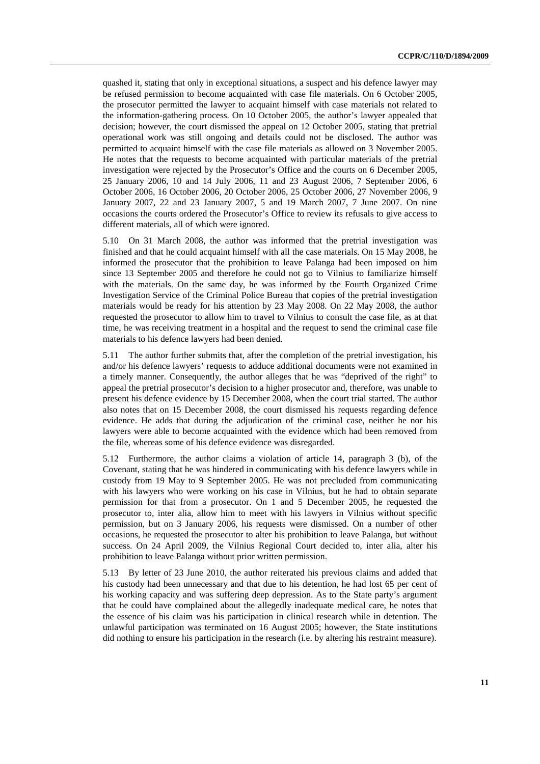quashed it, stating that only in exceptional situations, a suspect and his defence lawyer may be refused permission to become acquainted with case file materials. On 6 October 2005, the prosecutor permitted the lawyer to acquaint himself with case materials not related to the information-gathering process. On 10 October 2005, the author's lawyer appealed that decision; however, the court dismissed the appeal on 12 October 2005, stating that pretrial operational work was still ongoing and details could not be disclosed. The author was permitted to acquaint himself with the case file materials as allowed on 3 November 2005. He notes that the requests to become acquainted with particular materials of the pretrial investigation were rejected by the Prosecutor's Office and the courts on 6 December 2005, 25 January 2006, 10 and 14 July 2006, 11 and 23 August 2006, 7 September 2006, 6 October 2006, 16 October 2006, 20 October 2006, 25 October 2006, 27 November 2006, 9 January 2007, 22 and 23 January 2007, 5 and 19 March 2007, 7 June 2007. On nine occasions the courts ordered the Prosecutor's Office to review its refusals to give access to different materials, all of which were ignored.

5.10 On 31 March 2008, the author was informed that the pretrial investigation was finished and that he could acquaint himself with all the case materials. On 15 May 2008, he informed the prosecutor that the prohibition to leave Palanga had been imposed on him since 13 September 2005 and therefore he could not go to Vilnius to familiarize himself with the materials. On the same day, he was informed by the Fourth Organized Crime Investigation Service of the Criminal Police Bureau that copies of the pretrial investigation materials would be ready for his attention by 23 May 2008. On 22 May 2008, the author requested the prosecutor to allow him to travel to Vilnius to consult the case file, as at that time, he was receiving treatment in a hospital and the request to send the criminal case file materials to his defence lawyers had been denied.

5.11 The author further submits that, after the completion of the pretrial investigation, his and/or his defence lawyers' requests to adduce additional documents were not examined in a timely manner. Consequently, the author alleges that he was "deprived of the right" to appeal the pretrial prosecutor's decision to a higher prosecutor and, therefore, was unable to present his defence evidence by 15 December 2008, when the court trial started. The author also notes that on 15 December 2008, the court dismissed his requests regarding defence evidence. He adds that during the adjudication of the criminal case, neither he nor his lawyers were able to become acquainted with the evidence which had been removed from the file, whereas some of his defence evidence was disregarded.

5.12 Furthermore, the author claims a violation of article 14, paragraph 3 (b), of the Covenant, stating that he was hindered in communicating with his defence lawyers while in custody from 19 May to 9 September 2005. He was not precluded from communicating with his lawyers who were working on his case in Vilnius, but he had to obtain separate permission for that from a prosecutor. On 1 and 5 December 2005, he requested the prosecutor to, inter alia, allow him to meet with his lawyers in Vilnius without specific permission, but on 3 January 2006, his requests were dismissed. On a number of other occasions, he requested the prosecutor to alter his prohibition to leave Palanga, but without success. On 24 April 2009, the Vilnius Regional Court decided to, inter alia, alter his prohibition to leave Palanga without prior written permission.

5.13 By letter of 23 June 2010, the author reiterated his previous claims and added that his custody had been unnecessary and that due to his detention, he had lost 65 per cent of his working capacity and was suffering deep depression. As to the State party's argument that he could have complained about the allegedly inadequate medical care, he notes that the essence of his claim was his participation in clinical research while in detention. The unlawful participation was terminated on 16 August 2005; however, the State institutions did nothing to ensure his participation in the research (i.e. by altering his restraint measure).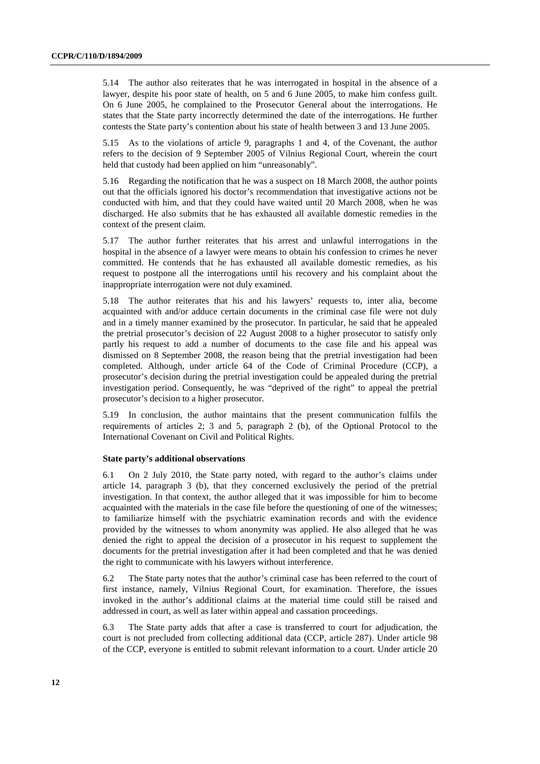5.14 The author also reiterates that he was interrogated in hospital in the absence of a lawyer, despite his poor state of health, on 5 and 6 June 2005, to make him confess guilt. On 6 June 2005, he complained to the Prosecutor General about the interrogations. He states that the State party incorrectly determined the date of the interrogations. He further contests the State party's contention about his state of health between 3 and 13 June 2005.

5.15 As to the violations of article 9, paragraphs 1 and 4, of the Covenant, the author refers to the decision of 9 September 2005 of Vilnius Regional Court, wherein the court held that custody had been applied on him "unreasonably".

5.16 Regarding the notification that he was a suspect on 18 March 2008, the author points out that the officials ignored his doctor's recommendation that investigative actions not be conducted with him, and that they could have waited until 20 March 2008, when he was discharged. He also submits that he has exhausted all available domestic remedies in the context of the present claim.

5.17 The author further reiterates that his arrest and unlawful interrogations in the hospital in the absence of a lawyer were means to obtain his confession to crimes he never committed. He contends that he has exhausted all available domestic remedies, as his request to postpone all the interrogations until his recovery and his complaint about the inappropriate interrogation were not duly examined.

5.18 The author reiterates that his and his lawyers' requests to, inter alia, become acquainted with and/or adduce certain documents in the criminal case file were not duly and in a timely manner examined by the prosecutor. In particular, he said that he appealed the pretrial prosecutor's decision of 22 August 2008 to a higher prosecutor to satisfy only partly his request to add a number of documents to the case file and his appeal was dismissed on 8 September 2008, the reason being that the pretrial investigation had been completed. Although, under article 64 of the Code of Criminal Procedure (CCP), a prosecutor's decision during the pretrial investigation could be appealed during the pretrial investigation period. Consequently, he was "deprived of the right" to appeal the pretrial prosecutor's decision to a higher prosecutor.

5.19 In conclusion, the author maintains that the present communication fulfils the requirements of articles 2; 3 and 5, paragraph 2 (b), of the Optional Protocol to the International Covenant on Civil and Political Rights.

#### **State party's additional observations**

6.1 On 2 July 2010, the State party noted, with regard to the author's claims under article 14, paragraph 3 (b), that they concerned exclusively the period of the pretrial investigation. In that context, the author alleged that it was impossible for him to become acquainted with the materials in the case file before the questioning of one of the witnesses; to familiarize himself with the psychiatric examination records and with the evidence provided by the witnesses to whom anonymity was applied. He also alleged that he was denied the right to appeal the decision of a prosecutor in his request to supplement the documents for the pretrial investigation after it had been completed and that he was denied the right to communicate with his lawyers without interference.

6.2 The State party notes that the author's criminal case has been referred to the court of first instance, namely, Vilnius Regional Court, for examination. Therefore, the issues invoked in the author's additional claims at the material time could still be raised and addressed in court, as well as later within appeal and cassation proceedings.

6.3 The State party adds that after a case is transferred to court for adjudication, the court is not precluded from collecting additional data (CCP, article 287). Under article 98 of the CCP, everyone is entitled to submit relevant information to a court. Under article 20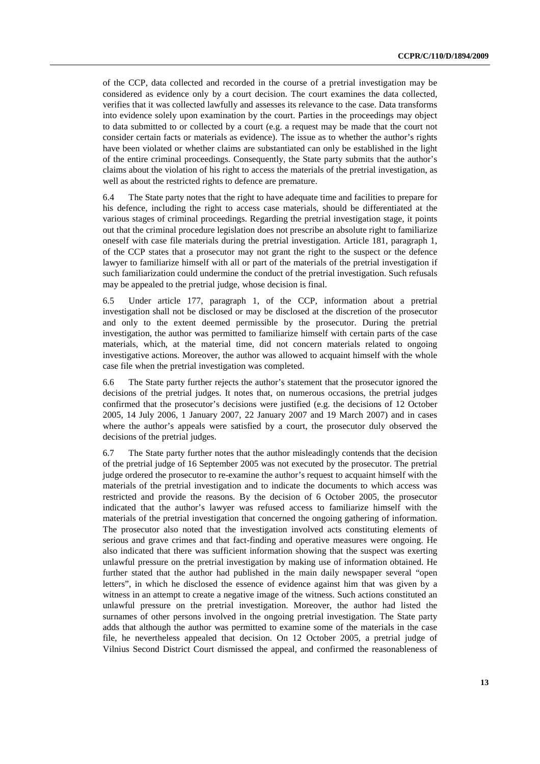of the CCP, data collected and recorded in the course of a pretrial investigation may be considered as evidence only by a court decision. The court examines the data collected, verifies that it was collected lawfully and assesses its relevance to the case. Data transforms into evidence solely upon examination by the court. Parties in the proceedings may object to data submitted to or collected by a court (e.g. a request may be made that the court not consider certain facts or materials as evidence). The issue as to whether the author's rights have been violated or whether claims are substantiated can only be established in the light of the entire criminal proceedings. Consequently, the State party submits that the author's claims about the violation of his right to access the materials of the pretrial investigation, as well as about the restricted rights to defence are premature.

6.4 The State party notes that the right to have adequate time and facilities to prepare for his defence, including the right to access case materials, should be differentiated at the various stages of criminal proceedings. Regarding the pretrial investigation stage, it points out that the criminal procedure legislation does not prescribe an absolute right to familiarize oneself with case file materials during the pretrial investigation. Article 181, paragraph 1, of the CCP states that a prosecutor may not grant the right to the suspect or the defence lawyer to familiarize himself with all or part of the materials of the pretrial investigation if such familiarization could undermine the conduct of the pretrial investigation. Such refusals may be appealed to the pretrial judge, whose decision is final.

6.5 Under article 177, paragraph 1, of the CCP, information about a pretrial investigation shall not be disclosed or may be disclosed at the discretion of the prosecutor and only to the extent deemed permissible by the prosecutor. During the pretrial investigation, the author was permitted to familiarize himself with certain parts of the case materials, which, at the material time, did not concern materials related to ongoing investigative actions. Moreover, the author was allowed to acquaint himself with the whole case file when the pretrial investigation was completed.

6.6 The State party further rejects the author's statement that the prosecutor ignored the decisions of the pretrial judges. It notes that, on numerous occasions, the pretrial judges confirmed that the prosecutor's decisions were justified (e.g. the decisions of 12 October 2005, 14 July 2006, 1 January 2007, 22 January 2007 and 19 March 2007) and in cases where the author's appeals were satisfied by a court, the prosecutor duly observed the decisions of the pretrial judges.

6.7 The State party further notes that the author misleadingly contends that the decision of the pretrial judge of 16 September 2005 was not executed by the prosecutor. The pretrial judge ordered the prosecutor to re-examine the author's request to acquaint himself with the materials of the pretrial investigation and to indicate the documents to which access was restricted and provide the reasons. By the decision of 6 October 2005, the prosecutor indicated that the author's lawyer was refused access to familiarize himself with the materials of the pretrial investigation that concerned the ongoing gathering of information. The prosecutor also noted that the investigation involved acts constituting elements of serious and grave crimes and that fact-finding and operative measures were ongoing. He also indicated that there was sufficient information showing that the suspect was exerting unlawful pressure on the pretrial investigation by making use of information obtained. He further stated that the author had published in the main daily newspaper several "open letters", in which he disclosed the essence of evidence against him that was given by a witness in an attempt to create a negative image of the witness. Such actions constituted an unlawful pressure on the pretrial investigation. Moreover, the author had listed the surnames of other persons involved in the ongoing pretrial investigation. The State party adds that although the author was permitted to examine some of the materials in the case file, he nevertheless appealed that decision. On 12 October 2005, a pretrial judge of Vilnius Second District Court dismissed the appeal, and confirmed the reasonableness of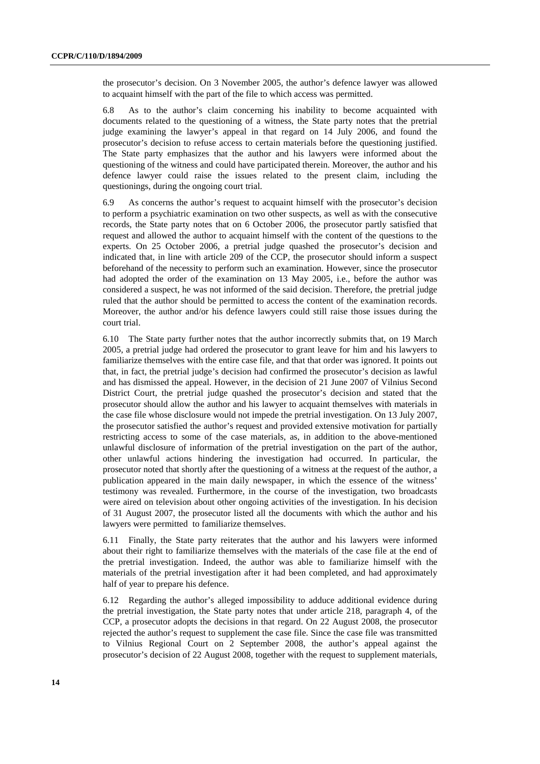the prosecutor's decision. On 3 November 2005, the author's defence lawyer was allowed to acquaint himself with the part of the file to which access was permitted.

6.8 As to the author's claim concerning his inability to become acquainted with documents related to the questioning of a witness, the State party notes that the pretrial judge examining the lawyer's appeal in that regard on 14 July 2006, and found the prosecutor's decision to refuse access to certain materials before the questioning justified. The State party emphasizes that the author and his lawyers were informed about the questioning of the witness and could have participated therein. Moreover, the author and his defence lawyer could raise the issues related to the present claim, including the questionings, during the ongoing court trial.

6.9 As concerns the author's request to acquaint himself with the prosecutor's decision to perform a psychiatric examination on two other suspects, as well as with the consecutive records, the State party notes that on 6 October 2006, the prosecutor partly satisfied that request and allowed the author to acquaint himself with the content of the questions to the experts. On 25 October 2006, a pretrial judge quashed the prosecutor's decision and indicated that, in line with article 209 of the CCP, the prosecutor should inform a suspect beforehand of the necessity to perform such an examination. However, since the prosecutor had adopted the order of the examination on 13 May 2005, i.e., before the author was considered a suspect, he was not informed of the said decision. Therefore, the pretrial judge ruled that the author should be permitted to access the content of the examination records. Moreover, the author and/or his defence lawyers could still raise those issues during the court trial.

6.10 The State party further notes that the author incorrectly submits that, on 19 March 2005, a pretrial judge had ordered the prosecutor to grant leave for him and his lawyers to familiarize themselves with the entire case file, and that that order was ignored. It points out that, in fact, the pretrial judge's decision had confirmed the prosecutor's decision as lawful and has dismissed the appeal. However, in the decision of 21 June 2007 of Vilnius Second District Court, the pretrial judge quashed the prosecutor's decision and stated that the prosecutor should allow the author and his lawyer to acquaint themselves with materials in the case file whose disclosure would not impede the pretrial investigation. On 13 July 2007, the prosecutor satisfied the author's request and provided extensive motivation for partially restricting access to some of the case materials, as, in addition to the above-mentioned unlawful disclosure of information of the pretrial investigation on the part of the author, other unlawful actions hindering the investigation had occurred. In particular, the prosecutor noted that shortly after the questioning of a witness at the request of the author, a publication appeared in the main daily newspaper, in which the essence of the witness' testimony was revealed. Furthermore, in the course of the investigation, two broadcasts were aired on television about other ongoing activities of the investigation. In his decision of 31 August 2007, the prosecutor listed all the documents with which the author and his lawyers were permitted to familiarize themselves.

6.11 Finally, the State party reiterates that the author and his lawyers were informed about their right to familiarize themselves with the materials of the case file at the end of the pretrial investigation. Indeed, the author was able to familiarize himself with the materials of the pretrial investigation after it had been completed, and had approximately half of year to prepare his defence.

6.12 Regarding the author's alleged impossibility to adduce additional evidence during the pretrial investigation, the State party notes that under article 218, paragraph 4, of the CCP, a prosecutor adopts the decisions in that regard. On 22 August 2008, the prosecutor rejected the author's request to supplement the case file. Since the case file was transmitted to Vilnius Regional Court on 2 September 2008, the author's appeal against the prosecutor's decision of 22 August 2008, together with the request to supplement materials,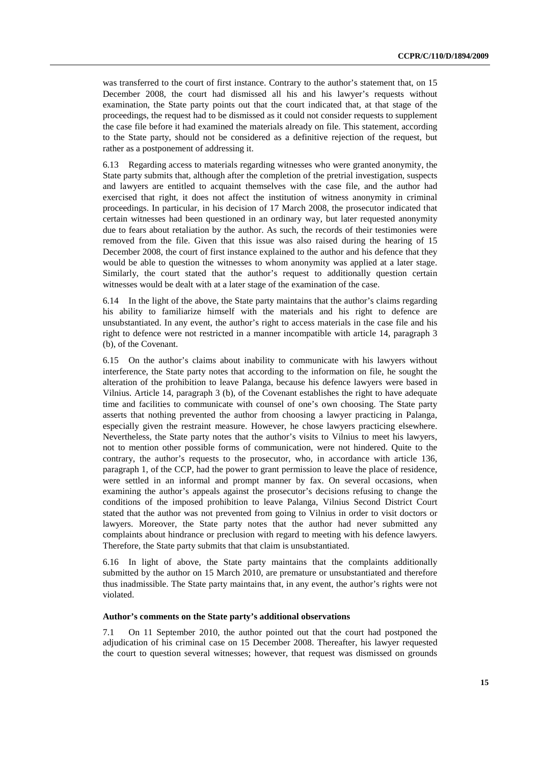was transferred to the court of first instance. Contrary to the author's statement that, on 15 December 2008, the court had dismissed all his and his lawyer's requests without examination, the State party points out that the court indicated that, at that stage of the proceedings, the request had to be dismissed as it could not consider requests to supplement the case file before it had examined the materials already on file. This statement, according to the State party, should not be considered as a definitive rejection of the request, but rather as a postponement of addressing it.

6.13 Regarding access to materials regarding witnesses who were granted anonymity, the State party submits that, although after the completion of the pretrial investigation, suspects and lawyers are entitled to acquaint themselves with the case file, and the author had exercised that right, it does not affect the institution of witness anonymity in criminal proceedings. In particular, in his decision of 17 March 2008, the prosecutor indicated that certain witnesses had been questioned in an ordinary way, but later requested anonymity due to fears about retaliation by the author. As such, the records of their testimonies were removed from the file. Given that this issue was also raised during the hearing of 15 December 2008, the court of first instance explained to the author and his defence that they would be able to question the witnesses to whom anonymity was applied at a later stage. Similarly, the court stated that the author's request to additionally question certain witnesses would be dealt with at a later stage of the examination of the case.

6.14 In the light of the above, the State party maintains that the author's claims regarding his ability to familiarize himself with the materials and his right to defence are unsubstantiated. In any event, the author's right to access materials in the case file and his right to defence were not restricted in a manner incompatible with article 14, paragraph 3 (b), of the Covenant.

6.15 On the author's claims about inability to communicate with his lawyers without interference, the State party notes that according to the information on file, he sought the alteration of the prohibition to leave Palanga, because his defence lawyers were based in Vilnius. Article 14, paragraph 3 (b), of the Covenant establishes the right to have adequate time and facilities to communicate with counsel of one's own choosing. The State party asserts that nothing prevented the author from choosing a lawyer practicing in Palanga, especially given the restraint measure. However, he chose lawyers practicing elsewhere. Nevertheless, the State party notes that the author's visits to Vilnius to meet his lawyers, not to mention other possible forms of communication, were not hindered. Quite to the contrary, the author's requests to the prosecutor, who, in accordance with article 136, paragraph 1, of the CCP, had the power to grant permission to leave the place of residence, were settled in an informal and prompt manner by fax. On several occasions, when examining the author's appeals against the prosecutor's decisions refusing to change the conditions of the imposed prohibition to leave Palanga, Vilnius Second District Court stated that the author was not prevented from going to Vilnius in order to visit doctors or lawyers. Moreover, the State party notes that the author had never submitted any complaints about hindrance or preclusion with regard to meeting with his defence lawyers. Therefore, the State party submits that that claim is unsubstantiated.

6.16 In light of above, the State party maintains that the complaints additionally submitted by the author on 15 March 2010, are premature or unsubstantiated and therefore thus inadmissible. The State party maintains that, in any event, the author's rights were not violated.

#### **Author's comments on the State party's additional observations**

7.1 On 11 September 2010, the author pointed out that the court had postponed the adjudication of his criminal case on 15 December 2008. Thereafter, his lawyer requested the court to question several witnesses; however, that request was dismissed on grounds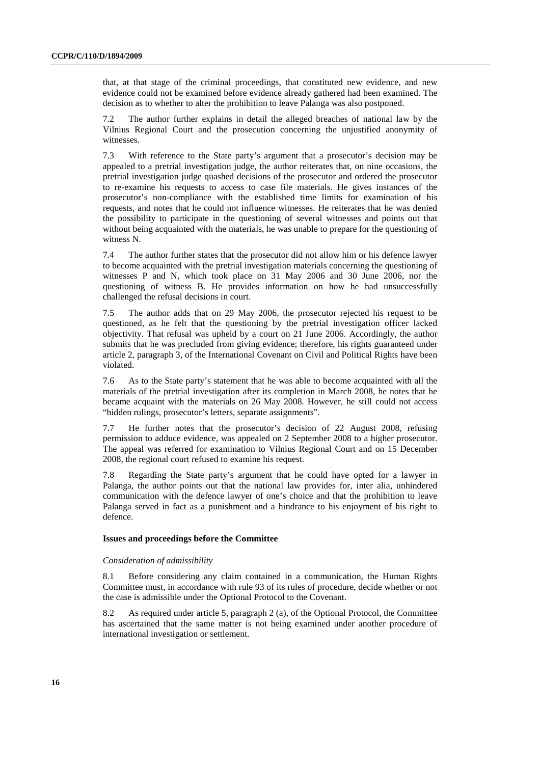that, at that stage of the criminal proceedings, that constituted new evidence, and new evidence could not be examined before evidence already gathered had been examined. The decision as to whether to alter the prohibition to leave Palanga was also postponed.

7.2 The author further explains in detail the alleged breaches of national law by the Vilnius Regional Court and the prosecution concerning the unjustified anonymity of witnesses.

7.3 With reference to the State party's argument that a prosecutor's decision may be appealed to a pretrial investigation judge, the author reiterates that, on nine occasions, the pretrial investigation judge quashed decisions of the prosecutor and ordered the prosecutor to re-examine his requests to access to case file materials. He gives instances of the prosecutor's non-compliance with the established time limits for examination of his requests, and notes that he could not influence witnesses. He reiterates that he was denied the possibility to participate in the questioning of several witnesses and points out that without being acquainted with the materials, he was unable to prepare for the questioning of witness N.

7.4 The author further states that the prosecutor did not allow him or his defence lawyer to become acquainted with the pretrial investigation materials concerning the questioning of witnesses P and N, which took place on 31 May 2006 and 30 June 2006, nor the questioning of witness B. He provides information on how he had unsuccessfully challenged the refusal decisions in court.

7.5 The author adds that on 29 May 2006, the prosecutor rejected his request to be questioned, as he felt that the questioning by the pretrial investigation officer lacked objectivity. That refusal was upheld by a court on 21 June 2006. Accordingly, the author submits that he was precluded from giving evidence; therefore, his rights guaranteed under article 2, paragraph 3, of the International Covenant on Civil and Political Rights have been violated.

7.6 As to the State party's statement that he was able to become acquainted with all the materials of the pretrial investigation after its completion in March 2008, he notes that he became acquaint with the materials on 26 May 2008. However, he still could not access "hidden rulings, prosecutor's letters, separate assignments".

7.7 He further notes that the prosecutor's decision of 22 August 2008, refusing permission to adduce evidence, was appealed on 2 September 2008 to a higher prosecutor. The appeal was referred for examination to Vilnius Regional Court and on 15 December 2008, the regional court refused to examine his request.

7.8 Regarding the State party's argument that he could have opted for a lawyer in Palanga, the author points out that the national law provides for, inter alia, unhindered communication with the defence lawyer of one's choice and that the prohibition to leave Palanga served in fact as a punishment and a hindrance to his enjoyment of his right to defence.

#### **Issues and proceedings before the Committee**

#### *Consideration of admissibility*

8.1 Before considering any claim contained in a communication, the Human Rights Committee must, in accordance with rule 93 of its rules of procedure, decide whether or not the case is admissible under the Optional Protocol to the Covenant.

8.2 As required under article 5, paragraph 2 (a), of the Optional Protocol, the Committee has ascertained that the same matter is not being examined under another procedure of international investigation or settlement.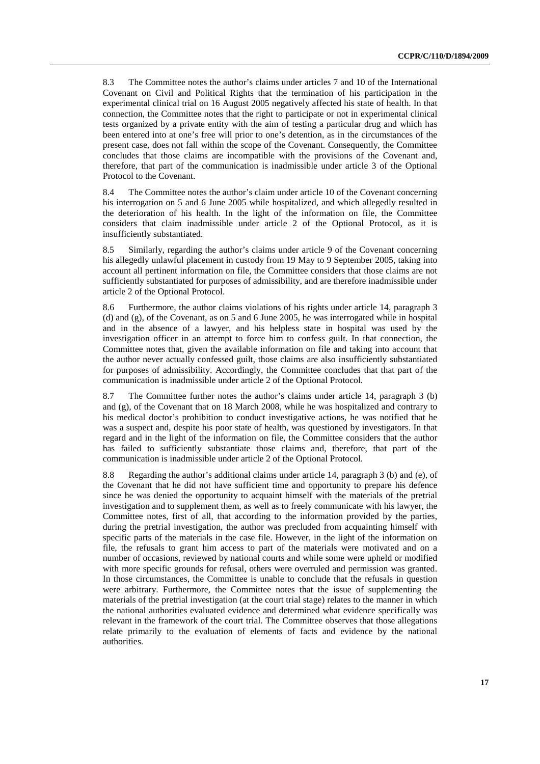8.3 The Committee notes the author's claims under articles 7 and 10 of the International Covenant on Civil and Political Rights that the termination of his participation in the experimental clinical trial on 16 August 2005 negatively affected his state of health. In that connection, the Committee notes that the right to participate or not in experimental clinical tests organized by a private entity with the aim of testing a particular drug and which has been entered into at one's free will prior to one's detention, as in the circumstances of the present case, does not fall within the scope of the Covenant. Consequently, the Committee concludes that those claims are incompatible with the provisions of the Covenant and, therefore, that part of the communication is inadmissible under article 3 of the Optional Protocol to the Covenant.

8.4 The Committee notes the author's claim under article 10 of the Covenant concerning his interrogation on 5 and 6 June 2005 while hospitalized, and which allegedly resulted in the deterioration of his health. In the light of the information on file, the Committee considers that claim inadmissible under article 2 of the Optional Protocol, as it is insufficiently substantiated.

8.5 Similarly, regarding the author's claims under article 9 of the Covenant concerning his allegedly unlawful placement in custody from 19 May to 9 September 2005, taking into account all pertinent information on file, the Committee considers that those claims are not sufficiently substantiated for purposes of admissibility, and are therefore inadmissible under article 2 of the Optional Protocol.

8.6 Furthermore, the author claims violations of his rights under article 14, paragraph 3 (d) and (g), of the Covenant, as on 5 and 6 June 2005, he was interrogated while in hospital and in the absence of a lawyer, and his helpless state in hospital was used by the investigation officer in an attempt to force him to confess guilt. In that connection, the Committee notes that, given the available information on file and taking into account that the author never actually confessed guilt, those claims are also insufficiently substantiated for purposes of admissibility. Accordingly, the Committee concludes that that part of the communication is inadmissible under article 2 of the Optional Protocol.

8.7 The Committee further notes the author's claims under article 14, paragraph 3 (b) and (g), of the Covenant that on 18 March 2008, while he was hospitalized and contrary to his medical doctor's prohibition to conduct investigative actions, he was notified that he was a suspect and, despite his poor state of health, was questioned by investigators. In that regard and in the light of the information on file, the Committee considers that the author has failed to sufficiently substantiate those claims and, therefore, that part of the communication is inadmissible under article 2 of the Optional Protocol.

8.8 Regarding the author's additional claims under article 14, paragraph 3 (b) and (e), of the Covenant that he did not have sufficient time and opportunity to prepare his defence since he was denied the opportunity to acquaint himself with the materials of the pretrial investigation and to supplement them, as well as to freely communicate with his lawyer, the Committee notes, first of all, that according to the information provided by the parties, during the pretrial investigation, the author was precluded from acquainting himself with specific parts of the materials in the case file. However, in the light of the information on file, the refusals to grant him access to part of the materials were motivated and on a number of occasions, reviewed by national courts and while some were upheld or modified with more specific grounds for refusal, others were overruled and permission was granted. In those circumstances, the Committee is unable to conclude that the refusals in question were arbitrary. Furthermore, the Committee notes that the issue of supplementing the materials of the pretrial investigation (at the court trial stage) relates to the manner in which the national authorities evaluated evidence and determined what evidence specifically was relevant in the framework of the court trial. The Committee observes that those allegations relate primarily to the evaluation of elements of facts and evidence by the national authorities.